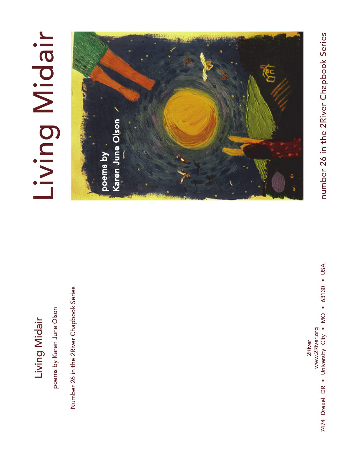## Living Midair Living Midair

poems by Karen June Olson poems by Karen June Olson

Number 26 in the 2River Chapbook Series Number 26 in the 2River Chapbook Series

# Living Midair Living Midair



www.2River.org<br>7474 Drexel DR • University City • MO • 63130 • USA 7474 Drexel DR • University City • MO • 63130 • USA www.2River.org 2River

number 26 in the 2River Chapbook Series number 26 in the 2River Chapbook Series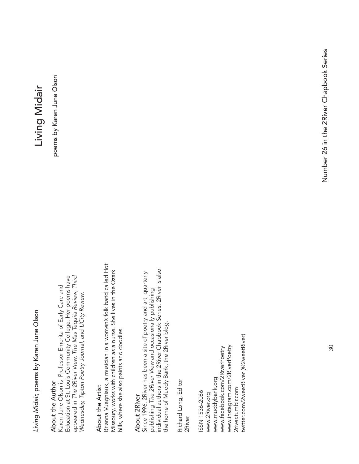Living Midair, poems by Karen June Olson *Living Midair,* poems by Karen June Olson

### About the Author About the Author

Education at St. Louis Community College. Her poems have Education at St. Louis Community College. Her poems have appeared in The 2River View, The Mas Tequila Review, Third appeared in *The 2River View, The Mas Tequila Review, Third*  Karen June Olson is Professor Emerita of Early Care and Karen June Olson is Professor Emerita of Early Care and Wednesday, Tipton Poetry Journal, and UCity Review. *Wednesday, Tipton Poetry Journal,* and *UCity Review.*

### About the Artist About the Artist

Brianna Vuagniaux, a musician in a women's folk band called Hot Brianna Vuagniaux, a musician in a women's folk band called Hot Missoury, works with children as a nurse. She lives in the Ozark Missoury, works with children as a nurse. She lives in the Ozark hills, where she also paints and doodles. hills, where she also paints and doodles.

### About 2River About 2River

individual authors in the 2River Chapbook Series. 2River is also individual authors in the 2River Chapbook Series. 2River is also Since 1996, 2River has been a site of poetry and art, quarterly Since 1996, 2River has been a site of poetry and art, quarterly<br>publishing The 2River View and occasionally publishing publishing *The 2River View* and occasionally publishing the home of Muddy Bank, the 2River blog. the home of Muddy Bank, the 2River blog.

Richard Long, Editor Richard Long, Editor 2River

twitter.com/2weetRiver (@2weetRiver) twitter.com/2weetRiver (@2weetRiver) www.instagram.com/2RiverPoetry www.instagram.com/2RiverPoetry www.facebook.com/2RiverPoetry www.facebook.com/2RiverPoetry www.muddybank.org www.muddybank.org 2river.tumblr.com 2river.tumblr.com ISSN 1536-2086 ISSN 1536-2086 www.2River.org www.2River.org

# Living Midair Living Midair

poems by Karen June Olson poems by Karen June Olson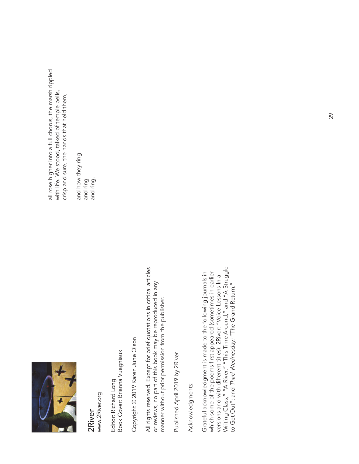

www.2River.org www.2River.org 2River

Book Cover: Brianna Vuagniaux Book Cover: Brianna Vuagniaux Editor: Richard Long Editor: Richard Long

Copyright @ 2019 Karen June Olson Copyright © 2019 Karen June Olson

All rights reserved. Except for brief quotations in critical articles All rights reserved. Except for brief quotations in critical articles or reviews, no part of this book may be reproduced in any or reviews, no part of this book may be reproduced in any manner without prior permission from the publisher. manner without prior permission from the publisher.

Published April 2019 by 2River Published April 2019 by 2River

Acknowledgments: Acknowledgments:

Writing Class," "A River," "This Time Around," and "A Struggle Writing Class," "A River," "This Time Around," and "A Struggle Grateful acknowledgment is made to the following journals in which some of the poems first appeared (sometimes in earlier Grateful acknowledgment is made to the following journals in which some of the poems first appeared (sometimes in earlier versions and with different titles): 2River: "Voice Lessons In a versions and with different titles): 2River: "Voice Lessons In a to Get Out"; and Third Wednesday: "The Grand Return." to Get Out"; and *Third Wednesday:* "The Grand Return."

all rose higher into a full chorus, the marsh rippled all rose higher into a full chorus, the marsh rippled with life. We stood, talked of temple bells, with life. We stood, talked of temple bells, crisp and sure, the hands that held them, crisp and sure, the hands that held them,

and how they ring and how they ring and ring and ring.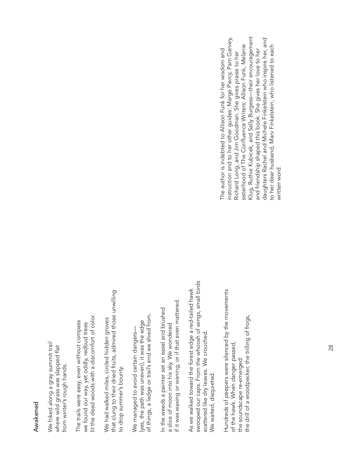#### Awakened Awakened

We hiked along a gray summit trail We hiked along a gray summit trail where wild grass was slapped flat where wild grass was slapped flat from winter's rough hands. from winter's rough hands.

lit the dead woods with a discomfort of color. lit the dead woods with a discomfort of color. The trails were easy, even without compass The trails were easy, even without compass we found our way, yet oddly, redbud trees we found our way, yet oddly, redbud trees

that clung to their dried fruits, admired those unwilling that clung to their dried fruits, admired those unwilling We had walked miles, circled hidden groves We had walked miles, circled hidden groves to drop summer's bounty. to drop summer's bounty.

of things, a ledge or trail's end we shied from. of things, a ledge or trail's end we shied from. (yes, the path was uneven), it was the edge (yes, the path was uneven), it was the edge We managed to avoid certain dangers— We managed to avoid certain dangers-

if it was waxing or waning, or if that even mattered. if it was waxing or waning, or if that even mattered. In the weeds a painter set an easel and brushed In the weeds a painter set an easel and brushed a slice of moon into his sky. We wondered a slice of moon into his sky. We wondered

swooped our caps. From the whoosh of wings, small birds swooped our caps. From the whoosh of wings, small birds As we walked toward the forest edge a red-tailed hawk As we walked toward the forest edge a red-tailed hawk scattered like dry leaves. We crouched. scattered like dry leaves. We crouched. We waited, disquieted. We waited, disquieted.

Hundreds of peepers were silenced by the movements Hundreds of peepers were silenced by the movements the drill of a woodpecker, the trilling of frogs, the drill of a woodpecker, the trilling of frogs, of the hawk. When danger passed, of the hawk. When danger passed, the soundscape re-emerged: the soundscape re-emerged:

Klug, Ruthie Kubicek, and Sally Burgess—their encouragement instruction and to her other guides: Marge Piercy, Pam Garvey, daughters Rachel and Michele Finkelstein who inspire her, and Klug, Ruthie Kubicek, and Sally Burgess—their encouragement daughters Rachel and Michele Finkelstein who inspire her, and nstruction and to her other guides: Marge Piercy, Pam Garvey, sisterhood of The Confluence Writers: Allison Funk, Melanie sisterhood of The Confluence Writers: Allison Funk, Melanie to her dear husband, Marv Finkelstein, who listened to each to her dear husband, Marv Finkelstein, who listened to each and friendship shaped this book. She gives her love to her The author is indebted to Allison Funk for her wisdom and and friendship shaped this book. She gives her love to her The author is indebted to Allison Funk for her wisdom and Richard Long, and Jim Goodman. She gives praise to her Richard Long, and Jim Goodman. She gives praise to her written word. written word.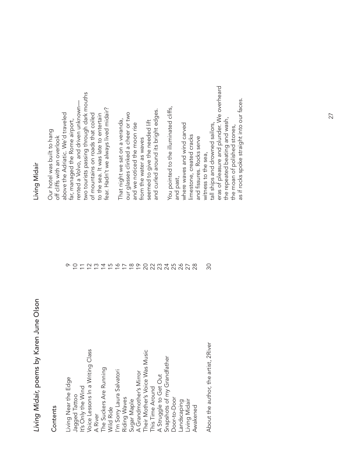# Living Midair, poems by Karen June Olson *Living Midair,* poems by Karen June Olson

#### Contents Contents

| Living Near the Edge                 |                          | ᡐ                        |
|--------------------------------------|--------------------------|--------------------------|
| Jagged Tattoo                        | S                        |                          |
| It's Only the Wind                   |                          | $\overline{\phantom{m}}$ |
| Voice Lessons In a Writing Class     | $\approx$                |                          |
| A River                              | <u>က</u>                 |                          |
| The Suckers Are Running              | $\overline{4}$           |                          |
| Wild Ride                            |                          |                          |
| I'm Sorry Laura Salvatori            | $\frac{6}{10}$           |                          |
| Riding Waves                         | $\overline{1}$           |                          |
| Sugar Maple                          |                          |                          |
| A Grandmother's Mirror               | $\frac{8}{10}$           |                          |
| Their Mother's Voice Was Music       | $\overline{\mathcal{S}}$ |                          |
| This Time Around                     |                          |                          |
| A Struggle to Get Out                | 23452                    |                          |
| Snapshots of my Grandfather          |                          |                          |
| Door-to-Door                         |                          |                          |
| Landscaping                          |                          |                          |
| Living Midair                        | 287                      |                          |
| Awakened                             | 82                       |                          |
| About the author, the artist, 2River | ೫                        |                          |

### Living Midair Living Midair

two tourists passing through dark mouths two tourists passing through dark mouths rented a Volvo, and driven unknownrented a Volvo, and driven unknown fear. Hadn't we always lived midair? fear. Hadn't we always lived midair? above the Adriatic. We'd traveled our glasses clinked a cheer or two our glasses clinked a cheer or two above the Adriatic. We'd traveled of mountains on roads that coiled of mountains on roads that coiled to the sea. It was late to entertain to the sea. It was late to entertain That night we sat on a veranda, far, managed the Rome airport, That night we sat on a veranda, far, managed the Rome airport, and we noticed the moon rise Our hotel was built to hang Our hotel was built to hang off cliffs with an overlook off cliffs with an overlook

> $\circ$   $\circ$  $\overline{\overline{a}}$

and curled around its bright edges. and curled around its bright edges. seemed to give the needed lift seemed to give the needed lift and we noticed the moon rise from the water as waves from the water as waves

eras of pleasure and plunder. We overheard eras of pleasure and plunder. We overheard as if rocks spoke straight into our faces. as if rocks spoke straight into our faces.You pointed to the illuminated cliffs, You pointed to the illuminated cliffs, the repeated beating and wash, the repeated beating and wash, tall ships and drowned sailors, where waves and wind carved tall ships and drowned sailors, and past,<br>where waves and wind carved the moan of polished stones, the moan of polished stones, limestone, created cracks limestone, created cracks and fissures. Rocks serve and fi ssures. Rocks serve witness to the sea, witness to the sea,

 $30$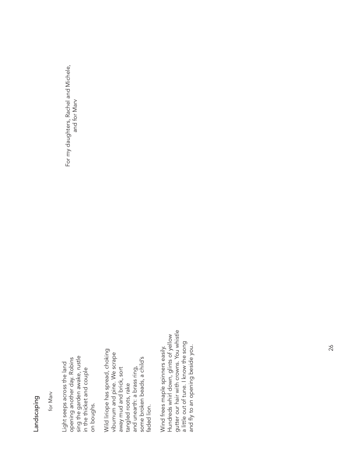### Landscaping Landscaping

for Marv

sing the garden awake, rustle<br>in the thicket and couple opening another day. Robins opening another day. Robins sing the garden awake, rustle Light seeps across the land Light seeps across the land in the thicket and couple on boughs. on boughs.

Wild liriope has spread, choking Wild liriope has spread, choking viburnum and pine. We scrape viburnum and pine. Wescrape and unearth: a brass ring,<br>some broken beads, a child's some broken beads, a child's away mud and brick, sort and unearth: a brass ring, away mud and brick, sort tangled roots, rake tangled roots, rake faded lion. faded lion.

gutter our hair with crowns. You whistle gutter our hair with crowns. You whistle Hundreds whirl down, glints of yellow Hundreds whirl down, glints of yellow a little out of tune. I know the song a little out of tune. I know the song and fly to an opening beside you. Wind frees maple spinners easily. and fly to an opening beside you. Wind frees maple spinners easily.

For my daughters, Rachel and Michele, For my daughters, Rachel and Michele, and for Marv and for Marv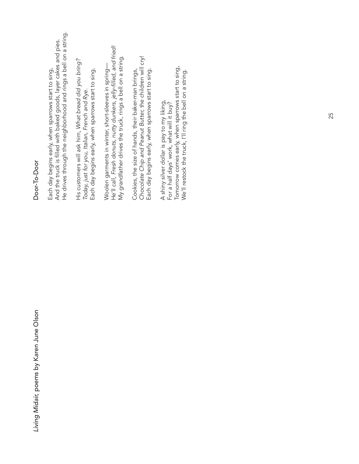Living Midair, poems by Karen June Olson *Living Midair,* poems by Karen June Olson

### Door-To-Door Door-To-Door

He drives through the neighborhood and rings a bell on a string. He drives through the neighborhood and rings a bell on a string. And the truck is filled with baked goods, layer cakes and pies. And the truck is filled with baked goods, layer cakes and pies. Each day begins early, when sparrows start to sing, Each day begins early, when sparrows start to sing,

His customers will ask him, What bread did you bring? His customers will ask him, *What bread did you bring?* Each day begins early, when sparrows start to sing. Each day begins early, when sparrows start to sing. Today, just for you, Italian, French and Rye. *Today, just for you, Italian, French and Rye.*

Woolen garments in winter, short-sleeves in spring—<br>He'll call, Fresh donuts, nutty dunkers, jelly-filled, and fried! He'll call, *Fresh donuts, nutty dunkers, jelly-fi lled, and fried!* My grandfather drives the truck, rings a bell on a string. My grandfather drives the truck, rings a bell on a string. Woolen garments in winter, short-sleeves in spring—

Chocolate Chip and Peanut Butter, the children will cry! *Chocolate Chip and Peanut Butter,* the children will cry! Cookies, the size of hands, their baker-man brings, Each day begins early, when sparrows start to sing. Each day begins early, when sparrows start to sing. Cookies, the size of hands, their baker-man brings,

Tomorrow comes early, when sparrows start to sing, Tomorrow comes early, when sparrows start to sing, We'll restock the truck, I'll ring the bell on a string. We'll restock the truck, I'll ring the bell on a string.A shiny silver dollar is pay to my liking, A shiny silver dollar is pay to my liking, For a half days' work, what will it buy? For a half days' work, what will it buy?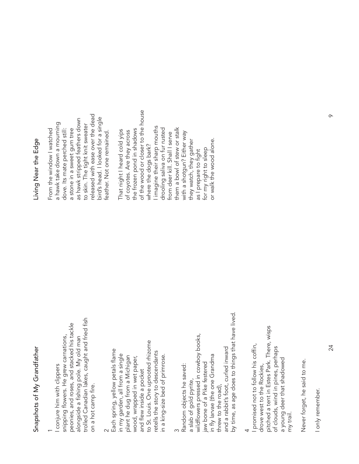# Snapshots of My Grandfather Snapshots of My Grandfather

#### $\overline{\phantom{0}}$

trolled Canadian lakes, caught and fried fish peonies, and roses, and stacked his tackle peonies, and roses, and stacked his tackle trolled Canadian lakes, caught and fried snipping flowers. He grew carnations, snipping flowers. He grew carnations, alongside a fishing pole. My old man fi shing pole. My old man I conjure him with clippers I conjure him with clippers on a hot camp fire. on a hot camp alongside a

#### $\scriptstyle\sim$

to St. Louis. One uprooted rhizome to St. Louis. One uprooted rhizome Each spring, yellow petals flame Each spring, yellow petals flame retells the story to descendants retells the story to descendants in my garden, all from a single plant he dug from a Michigan in my garden, all from a single in a king-size bed of primrose. wood, wrapped in wet paper, in a king-size bed of primrose. plant he dug from a Michigan wood, wrapped in wet paper, and flew inside a pocket and flew inside a pocket

#### ო

by time, as age does to things that have lived. by time, as age does to things that have lived. wildfl owers pressed in cowboy books, wildflowers pressed in cowboy books, and a rabbit's foot, curled inward and a rabbit's foot, curled inward in fly larvae (the one Grandma in fly larvae (the one Grandma jaw bone of a Pike festered aw bone of a Pike festered Random objects he saved: Random objects he saved: a slab of gold pyrite, a slab of gold pyrite, threw to the road), threw to the road),

#### 4

pitched a tent in Estes Park. There, wisps pitched a tent in Estes Park. There, wisps I promised not to follow his coffin, I promised not to follow his coffin, of clouds, wind in pines, perhaps of clouds, wind in pines, perhaps a young deer that shadowed a young deer that shadowed drove west to the Rockies, drove west to the Rockies, my trail.

Never forget, he said to me. Never forget, he said to me.

I only remember. I only remember 24

### Living Near the Edge Living Near the Edge

released with ease over the dead released with ease over the dead bird's head. I looked for a single as hawk stripped feathers down as hawk stripped feathers down bird's head. I looked for a single a hawk take down a mourning a hawk take down a mourning to skin. The tight knit sweater to skin. The tight knit sweater From the window I watched dove. Its mate perched still: a stone in a sweet gum tree a stone in a sweet gum tree From the window I watched dove. Its mate perched still: feather. Not one remained. feather. Not one remained.

of the wood or closer to the house of the wood or closer to the house I imagine their sharp mouths imagine their sharp mouths them a bowl of stew or stalk drooling saliva on fur rusted the frozen pond in shadows drooling saliva on fur rusted them a bowl of stew or stalk That night I heard cold yips the frozen pond in shadows That night I heard cold yips of coyotes. Are they across with a shotgun? Either way with a shotgun? Either way of coyotes. Are they across from deer kill. Shall I serve from deer kill. Shall I serve or walk the wood alone. or walk the wood alone.they watch, they gather they watch, they gather where the dogs bark? where the dogs bark? for my right to sleep as I prepare to fight for my right to sleep as I prepare to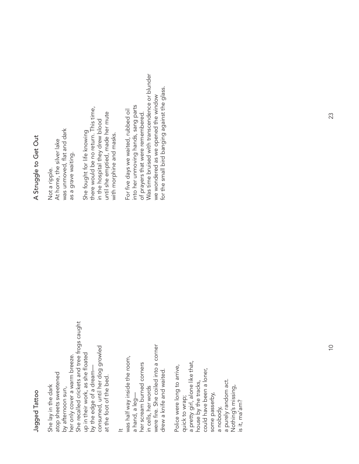### Jagged Tattoo Jagged Tattoo

She recalled crickets and tree frogs caught She recalled crickets and tree frogs caught consumed, until her dog growled consumed, until her dog growled up in their work, as she floated up in their work, as she floated her only cover a warm breeze. her only cover a warm breeze. by the edge of a dream by the edge of a dream atop sheets sweetened atop sheets sweetened at the foot of the bed. at the foot of the bed. She lay in the dark She lay in the dark by afternoon sun, by afternoon sun,

#### $\pm$

were fire. She coiled into a corner were fire. She coiled into a corner was half way inside the room, was half way inside the room, her scream burned corners her scream burned corners drew a knife and waited. drew a knife and waited. in cells, her words in cells, her words a hand, a leg a hand, a leg-

a pretty girl, alone like that, a pretty girl, alone like that, Police were long to arrive, Police were long to arrive, could have been a loner, could have been a loner, a nobody,<br>a purely random act. nouse by the tracks, a purely random act. house by the tracks, Nothing's missing, Nothing's missing, some passerby, some passerby, quick to wrap; quick to wrap; s it, ma'am? is it, ma'am?

## A Struggle to Get Out A Struggle to Get Out

was unmoved, flat and dark was unmoved, flat and dark At home, the silver lake At home, the silver lake as a grave waiting. as a grave waiting. Not a ripple. Not a ripple.

there would be no return. This time, She fought for life knowing<br>there would be no return. This time, until she emptied, made her mute until she emptied, made her mute in the hospital they drew blood in the hospital they drew blood She fought for life knowing with morphine and masks. with morphine and masks.

Was time bruised with transcendence or blunder Was time bruised with transcendence or blunder for the small bird banging against the glass. for the small bird banging against the glass.we wondered as we opened the window we wondered as we opened the window into her unmoving hands, sang parts into her unmoving hands, sang parts For five days we waited, rubbed oil For five days we waited, rubbed oil of prayers that were remembered. of prayers that were remembered.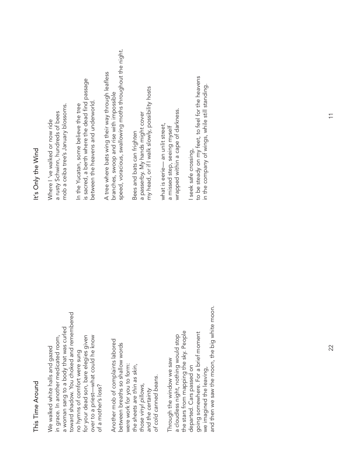### This Time Around This Time Around

toward shadow. You choked and remembered toward shadow. You choked and remembered a woman sang to a body that was curled a woman sang to a body that was curled for your dead son, bare elegies given over to a priest—what could he know in grace. In another medicated room, for your dead son, bare elegies given over to a priest-what could he know in grace. In another medicated room, We walked white halls and gazed We walked white halls and gazed no hymns of comfort were sung no hymns of comfort were sung of a mother's loss? of a mother's loss?

Another mob of complaints labored Another mob of complaints labored between breaths so shallow words between breaths so shallow words were work for you to form: were work for you to form: *the sheets are thin as skin,*  the sheets are thin as skin, *of cold canned beans.*  of cold canned beans. those vinyl pillows, *those vinyl pillows,* and the certainty *and the certainty*

and then we saw the moon, the big white moon. and then we saw the moon, the big white moon. the stars from mapping the sky. People the stars from mapping the sky. People going somewhere. For a brief moment going somewhere. For a brief moment a cloudless night, nothing would stop a cloudless night, nothing would stop Through the window we saw Through the window we saw departed. Cars passed on departed. Cars passed on we imagined the leaving, we imagined the leaving,

### It's Only the Wind It's Only the Wind

mob a ceiba tree's January blossoms. mob a ceiba tree's January blossoms. a rusty Schwinn, hundreds of bees a rusty Schwinn, hundreds of bees Where I 've walked or now ride Where I 've walked or now ride

is sacred, a berth where the dead find passage is sacred, a berth where the dead find passage between the heavens and underworld. between the heavens and underworld In the Yucatan, some believe the tree In the Yucatan, some believe the tree

speed, voracious, swallowing moths throughout the night. speed, voracious, swallowing moths throughout the night. A tree where bats wing their way through leafless A tree where bats wing their way through leafless branches, swoop and rise with impossible branches, swoop and rise with impossible

my head, or if I walk slowly, possibility hosts my head, or if I walk slowly, possibility hosts a passerby. My hands might cover a passerby. My hands might cover Bees and bats can frighten Bees and bats can frighten

wrapped within a cape of darkness. wrapped within a cape of darkness. what is eerie— an unlit street, what is eerie— an unlit street, a missed step, seeing myself a missed step, seeing myself

to be steady on my feet, to feel for the heavens to be steady on my feet, to feel for the heavens in the company of wings, while still standing. in the company of wings, while still standing. I seek safe crossing, I seek safe crossing,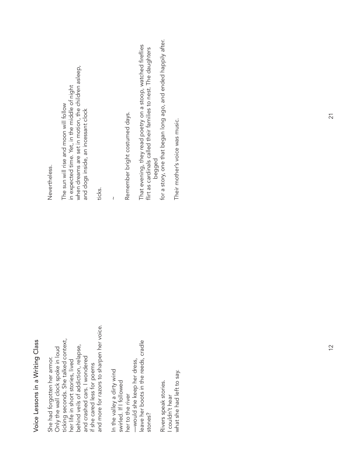| That evening, they read poetry on a stoop, watched fireflies<br>flirt as cardinals called their families to nest. The daughters<br>when dreams are set in motion, the children asleep,<br>in expected time. Yet, in the middle of night<br>The sun will rise and moon will follow<br>and dogs inside, an incessant clock<br>Remember bright costumed days.<br>begged<br>ticks.<br>$\pmb{\mathcal{E}}$<br>and more for razors to sharpen her voice.<br>ticking seconds. She talked context,<br>leave her boots in the reeds, cradle<br>her life in short stories, lived<br>behind veils of addiction, relapse,<br>Only the wall clock spoke in loud<br>and crashed cars. I wondered<br>-would she keep her dress,<br>if she cared less for poems<br>In the valley a dirty wind<br>swirled. If I followed<br>Rivers speak stories.<br>her to the river<br>I couldn't hear<br>stones? | She had forgotten her armor. | Nevertheless.                                                  |
|------------------------------------------------------------------------------------------------------------------------------------------------------------------------------------------------------------------------------------------------------------------------------------------------------------------------------------------------------------------------------------------------------------------------------------------------------------------------------------------------------------------------------------------------------------------------------------------------------------------------------------------------------------------------------------------------------------------------------------------------------------------------------------------------------------------------------------------------------------------------------------|------------------------------|----------------------------------------------------------------|
|                                                                                                                                                                                                                                                                                                                                                                                                                                                                                                                                                                                                                                                                                                                                                                                                                                                                                    |                              |                                                                |
|                                                                                                                                                                                                                                                                                                                                                                                                                                                                                                                                                                                                                                                                                                                                                                                                                                                                                    |                              |                                                                |
|                                                                                                                                                                                                                                                                                                                                                                                                                                                                                                                                                                                                                                                                                                                                                                                                                                                                                    |                              |                                                                |
|                                                                                                                                                                                                                                                                                                                                                                                                                                                                                                                                                                                                                                                                                                                                                                                                                                                                                    |                              |                                                                |
|                                                                                                                                                                                                                                                                                                                                                                                                                                                                                                                                                                                                                                                                                                                                                                                                                                                                                    |                              |                                                                |
|                                                                                                                                                                                                                                                                                                                                                                                                                                                                                                                                                                                                                                                                                                                                                                                                                                                                                    |                              |                                                                |
|                                                                                                                                                                                                                                                                                                                                                                                                                                                                                                                                                                                                                                                                                                                                                                                                                                                                                    |                              |                                                                |
|                                                                                                                                                                                                                                                                                                                                                                                                                                                                                                                                                                                                                                                                                                                                                                                                                                                                                    |                              |                                                                |
|                                                                                                                                                                                                                                                                                                                                                                                                                                                                                                                                                                                                                                                                                                                                                                                                                                                                                    |                              |                                                                |
|                                                                                                                                                                                                                                                                                                                                                                                                                                                                                                                                                                                                                                                                                                                                                                                                                                                                                    |                              |                                                                |
|                                                                                                                                                                                                                                                                                                                                                                                                                                                                                                                                                                                                                                                                                                                                                                                                                                                                                    |                              |                                                                |
|                                                                                                                                                                                                                                                                                                                                                                                                                                                                                                                                                                                                                                                                                                                                                                                                                                                                                    |                              |                                                                |
|                                                                                                                                                                                                                                                                                                                                                                                                                                                                                                                                                                                                                                                                                                                                                                                                                                                                                    |                              |                                                                |
|                                                                                                                                                                                                                                                                                                                                                                                                                                                                                                                                                                                                                                                                                                                                                                                                                                                                                    |                              |                                                                |
|                                                                                                                                                                                                                                                                                                                                                                                                                                                                                                                                                                                                                                                                                                                                                                                                                                                                                    |                              | for a story, one that began long ago, and ended happily after. |
|                                                                                                                                                                                                                                                                                                                                                                                                                                                                                                                                                                                                                                                                                                                                                                                                                                                                                    |                              |                                                                |
|                                                                                                                                                                                                                                                                                                                                                                                                                                                                                                                                                                                                                                                                                                                                                                                                                                                                                    | what she had left to say.    | Their mother's voice was music.                                |

Voice Lessons in a Writing Class

Voice Lessons in a Writing Class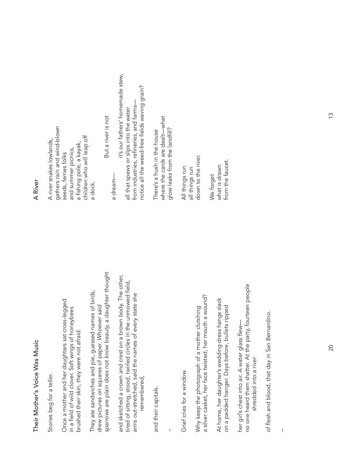# Their Mother's Voice Was Music Their Mother's Voice Was Music

Stories beg for a teller. Stories beg for a teller. Once a mother and her daughters sat cross-legged Once a mother and her daughters sat cross-legged in a field of wild clover. Soft wings of honeybees in a field of wild clover. Soft wings of honeybees brushed their skin, they were not afraid. brushed their skin, they were not afraid.

*sparrows are plain does not know beauty,* a daughter thought sparrows are plain does not know beauty, a daughter thought They ate sandwiches and pie, guessed names of birds, They ate sandwiches and pie, guessed names of birds, drew pictures on squares of paper. Whoever said drew pictures on squares of paper. *Whoever said*

and sketched a crown and crest on a brown body. The other, and sketched a crown and crest on a brown body. The other, tired of sitting, stood, twirled circles in the unmowed field, tired of sitting, stood, twirled circles in the unmowed field, arms out-stretched, said the names of every state she arms out-stretched, said the names of every state she remembered, remembered,

and their capitals. and their capitals.

~

Grief cries for a window. Grief cries for a window.

a silver casket, her face twisted, her mouth a wound? a silver casket, her face twisted, her mouth a wound? Why keep the photograph of a mother clutching Why keep the photograph of a mother clutching

At home, her daughter's wedding dress hangs slack At home, her daughter's wedding dress hangs slack on a padded hanger. Days before, bullets ripped on a padded hanger. Days before, bullets ripped

no one heard them shatter. At the party, fourteen people no one heard them shatter. At the party, fourteen people her girl's chest into air. A water glass flew her girl's chest into air. A water glass flewshredded into a river shredded into a river

of flesh and blood, that day in San Bernardino. of flesh and blood, that day in San Bernardino.

~

### A River

gathers rain and wind-blown gathers rain and wind-blown children who will leap off children who will leap off A river snakes lowlands, A river snakes lowlands, a fishing pole, a kayak, a fi shing pole, a kayak, and summer picnics, and summer picnics, seeds, ferries folks seeds, ferries folks a dock. But a river is not But a river is not

a dream—

a dream-

 it's our fathers' homemade stew, it's our fathers' homemade stew, notice all the weed-free fi elds waving grain? notice all the weed-free fields waving grain? from industries, refineries, and farms from industries, refineries, and farmsall that spews or slips into the water all that spews or slips into the water

where the cards are dealt-what where the cards are dealt—what glow leaks from the landfill? glow leaks from the landfi ll? There's a hush in the house There's a hush in the house

down to the river. down to the river. All things run all things run All things run all things run

from the faucet. from the faucet what is drawn what is drawn We forget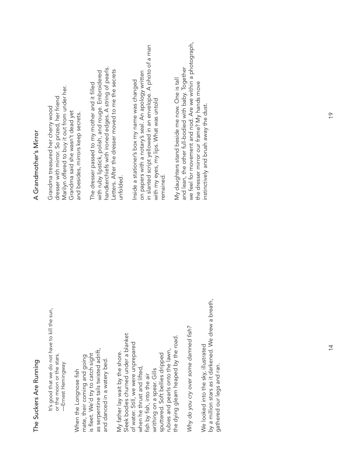# The Suckers Are Running The Suckers Are Running

It's good that we do not have to kill the sun, It's good that we do not have to kill the sun, or the moon or the stars. or the moon or the stars. -Ernest Hemingway —Ernest Hemingway

as serpentine tails twisted adrift, as serpentine tails twisted adrift, s fleet. We'd try to catch sight mate, their coming and going mate, their coming and going is fleet. We'd try to catch sight and danced in a watery bed. and danced in a watery bed. When the Longnose fish When the Longnose fish

Sleek bodies churned under a blanket Sleek bodies churned under a blanket the dying gleam heaped by the road. the dying gleam heaped by the road. of water. Still, we were unprepared of water. Still, we were unprepared ubies and pearls onto the lawn, rubies and pearls onto the lawn, My father lay wait by the shore. My father lay wait by the shore. sputtered. Soft bellies dripped sputtered. Soft bellies dripped when he thrust and lifted, when he thrust and lifted, writhing on a spear. Gills writhing on a spear. Gills fish by fish, into the air fish by fish, into the air

Why do you cry over some damned fish? *Why do you cry over some damned fi sh?*

by a million stars as it darkened. We drew a breath, by a million stars as it darkened. We drew a breath, We looked into the sky, illustrated We looked into the sky, illustrated gathered our legs and ran. gathered our legs and ran.

# A Grandmother's Mirror A Grandmother's Mirror

Marilyn offered to buy it out from under her. Marilyn offered to buy it out from under her. dresser with mirror. So prized, her friend dresser with mirror. So prized, her friend Grandma treasured her cherry wood Grandma treasured her cherry wood Grandma said she wasn't dead yet Grandma said she wasn't dead yet and besides, mirrors keep secrets. and besides, mirrors keep secrets.

handkerchiefs with ironed edges. A string of pearls. handkerchiefs with ironed edges. A string of pearls. Letters. After the dresser moved to me the secrets Letters. After the dresser moved to me the secrets with ruby lipstick, polish, and rouge. Embroidered with ruby lipstick, polish, and rouge. Embroidered The dresser passed to my mother and it filled The dresser passed to my mother and it filled unfolded. unfolded.

in slanted script yellowed in an envelope. A photo of a man in slanted script yellowed in an envelope. A photo of a man on papers with a notary's seal. An apology written on papers with a notary's seal. An apology written Inside a stationer's box my name was changed Inside a stationer's box my name was changed with my eyes, my lips. What was untold with my eyes, my lips. What was untold remained. emained.

we feel for movement and nod. Are we within a photograph, we feel for movement and nod. Are we within a photograph, and lean, the other full-bodied with baby. Together and lean, the other full-bodied with baby. Together My daughters stand beside me now. One is tall My daughters stand beside me now. One is tall the dresser mirror our frame? My hands move the dresser mirror our frame? My hands move instinctively and brush away the dust. instinctively and brush away the dust.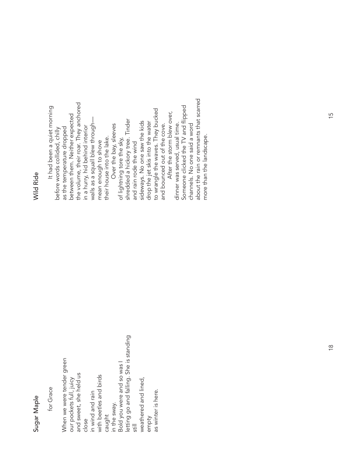### Sugar Maple Sugar Maple

for Grace

letting go and falling. She is standing letting go and falling. She is standing When we were tender green When we were tender green Bold you were and so was I Bold you were and so was I and sweet, she held us and sweet, she held us with beetles and birds with beetles and birds our pockets full, juicy our pockets full, juicy weathered and lined, weathered and lined, empty<br>as winter is here. in wind and rain as winter is here. in wind and rain in the sway. caught close still

#### **Wild Ride** Wild Ride

the volume, their roar. They anchored the volume, their roar. They anchored It had been a quiet morning Someone clicked the TV and flipped Someone clicked the TV and fl ipped It had been a quiet morning to wrangle the waves. They bucked to wrangle the waves. They bucked After the storm blew over, After the storm blew over, between them. Neither expected between them. Neither expected walls as a squall blew through of lightning tore the sky,<br>shredded a hickory tree. Tinder shredded a hickory tree. Tinder sideways. No one saw the kids drop the jet skis into the water drop the jet skis into the water sideways. No one saw the kids and bounced out of the cove. dinner was served, usual time. channels. No one said a word walls as a squall blew through-Over the bay, sleeves dinner was served, usual time. and bounced out of the cove. in a hurry, hid behind interior Over the bay, sleeves channels. No one said a word as the temperature dropped in a hurry, hid behind interior as the temperature dropped before words collided, chilly before words collided, chilly their house into the lake. of lightning tore the sky, their house into the lake. mean enough to shove mean enough to shove and rain rode the wind and rain rode the wind

about the rain or remnants that scarred

about the rain or remnants that scarred

more than the landscape.

more than the landscape.